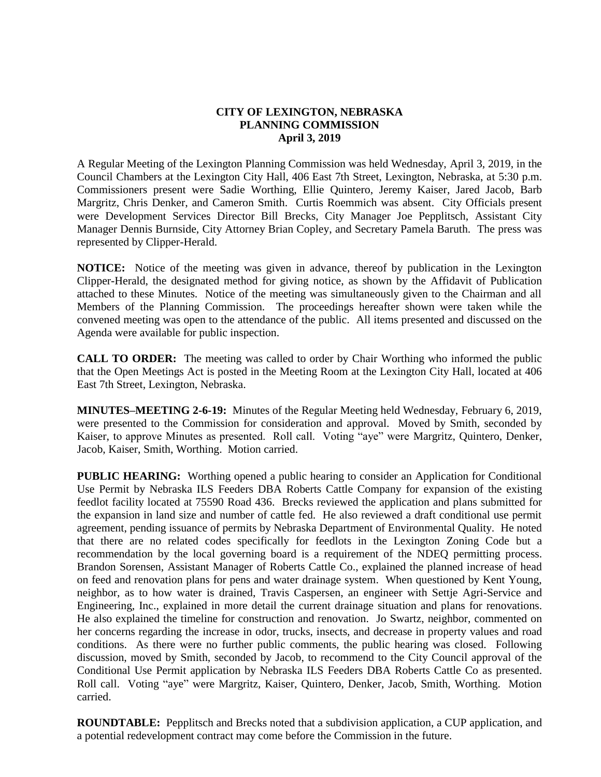## **CITY OF LEXINGTON, NEBRASKA PLANNING COMMISSION April 3, 2019**

A Regular Meeting of the Lexington Planning Commission was held Wednesday, April 3, 2019, in the Council Chambers at the Lexington City Hall, 406 East 7th Street, Lexington, Nebraska, at 5:30 p.m. Commissioners present were Sadie Worthing, Ellie Quintero, Jeremy Kaiser, Jared Jacob, Barb Margritz, Chris Denker, and Cameron Smith. Curtis Roemmich was absent. City Officials present were Development Services Director Bill Brecks, City Manager Joe Pepplitsch, Assistant City Manager Dennis Burnside, City Attorney Brian Copley, and Secretary Pamela Baruth. The press was represented by Clipper-Herald.

**NOTICE:** Notice of the meeting was given in advance, thereof by publication in the Lexington Clipper-Herald, the designated method for giving notice, as shown by the Affidavit of Publication attached to these Minutes. Notice of the meeting was simultaneously given to the Chairman and all Members of the Planning Commission. The proceedings hereafter shown were taken while the convened meeting was open to the attendance of the public. All items presented and discussed on the Agenda were available for public inspection.

**CALL TO ORDER:** The meeting was called to order by Chair Worthing who informed the public that the Open Meetings Act is posted in the Meeting Room at the Lexington City Hall, located at 406 East 7th Street, Lexington, Nebraska.

**MINUTES–MEETING 2-6-19:** Minutes of the Regular Meeting held Wednesday, February 6, 2019, were presented to the Commission for consideration and approval. Moved by Smith, seconded by Kaiser, to approve Minutes as presented. Roll call. Voting "aye" were Margritz, Quintero, Denker, Jacob, Kaiser, Smith, Worthing. Motion carried.

**PUBLIC HEARING:** Worthing opened a public hearing to consider an Application for Conditional Use Permit by Nebraska ILS Feeders DBA Roberts Cattle Company for expansion of the existing feedlot facility located at 75590 Road 436. Brecks reviewed the application and plans submitted for the expansion in land size and number of cattle fed. He also reviewed a draft conditional use permit agreement, pending issuance of permits by Nebraska Department of Environmental Quality. He noted that there are no related codes specifically for feedlots in the Lexington Zoning Code but a recommendation by the local governing board is a requirement of the NDEQ permitting process. Brandon Sorensen, Assistant Manager of Roberts Cattle Co., explained the planned increase of head on feed and renovation plans for pens and water drainage system. When questioned by Kent Young, neighbor, as to how water is drained, Travis Caspersen, an engineer with Settje Agri-Service and Engineering, Inc., explained in more detail the current drainage situation and plans for renovations. He also explained the timeline for construction and renovation. Jo Swartz, neighbor, commented on her concerns regarding the increase in odor, trucks, insects, and decrease in property values and road conditions. As there were no further public comments, the public hearing was closed. Following discussion, moved by Smith, seconded by Jacob, to recommend to the City Council approval of the Conditional Use Permit application by Nebraska ILS Feeders DBA Roberts Cattle Co as presented. Roll call. Voting "aye" were Margritz, Kaiser, Quintero, Denker, Jacob, Smith, Worthing. Motion carried.

**ROUNDTABLE:** Pepplitsch and Brecks noted that a subdivision application, a CUP application, and a potential redevelopment contract may come before the Commission in the future.